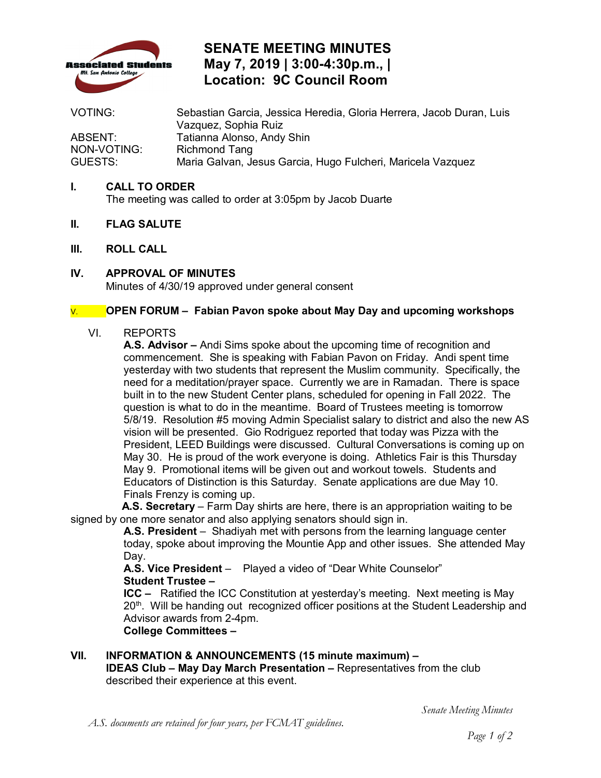

# **SENATE MEETING MINUTES May 7, 2019 | 3:00-4:30p.m., | Location: 9C Council Room**

VOTING: Sebastian Garcia, Jessica Heredia, Gloria Herrera, Jacob Duran, Luis Vazquez, Sophia Ruiz ABSENT: Tatianna Alonso, Andy Shin<br>NON-VOTING: Richmond Tang Richmond Tang GUESTS: Maria Galvan, Jesus Garcia, Hugo Fulcheri, Maricela Vazquez

## **I. CALL TO ORDER**

The meeting was called to order at 3:05pm by Jacob Duarte

- **II. FLAG SALUTE**
- **III. ROLL CALL**
- **IV. APPROVAL OF MINUTES**  Minutes of 4/30/19 approved under general consent

# V. **OPEN FORUM – Fabian Pavon spoke about May Day and upcoming workshops**

### VI. REPORTS

 commencement. She is speaking with Fabian Pavon on Friday. Andi spent time yesterday with two students that represent the Muslim community. Specifically, the need for a meditation/prayer space. Currently we are in Ramadan. There is space question is what to do in the meantime. Board of Trustees meeting is tomorrow May 30. He is proud of the work everyone is doing. Athletics Fair is this Thursday Educators of Distinction is this Saturday. Senate applications are due May 10. Finals Frenzy is coming up. **A.S. Advisor –** Andi Sims spoke about the upcoming time of recognition and built in to the new Student Center plans, scheduled for opening in Fall 2022. The 5/8/19. Resolution #5 moving Admin Specialist salary to district and also the new AS vision will be presented. Gio Rodriguez reported that today was Pizza with the President, LEED Buildings were discussed. Cultural Conversations is coming up on May 9. Promotional items will be given out and workout towels. Students and

**A.S. Secretary** – Farm Day shirts are here, there is an appropriation waiting to be signed by one more senator and also applying senators should sign in.

 **A.S. President** – Shadiyah met with persons from the learning language center today, spoke about improving the Mountie App and other issues. She attended May Day.

 **A.S. Vice President** – Played a video of "Dear White Counselor" **Student Trustee –** 

 **ICC –** Ratified the ICC Constitution at yesterday's meeting. Next meeting is May 20<sup>th</sup>. Will be handing out recognized officer positions at the Student Leadership and Advisor awards from 2-4pm.

**College Committees -**

 **College Committees – VII. INFORMATION & ANNOUNCEMENTS (15 minute maximum) –**  described their experience at this event. **IDEAS Club – May Day March Presentation –** Representatives from the club

*Senate Meeting Minutes*